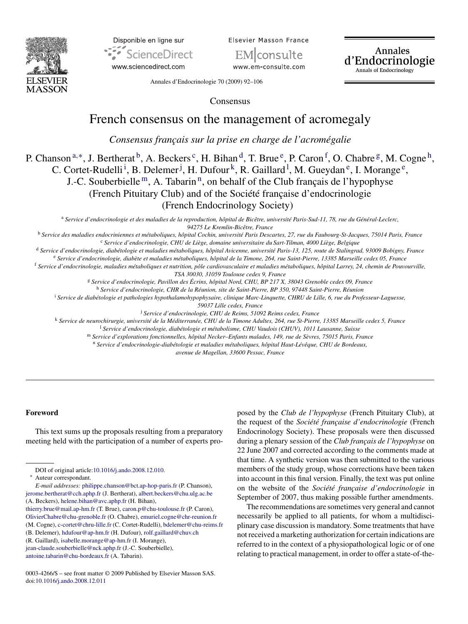



**Flsevier Masson France** 

www.em-consulte.com

**Annales** d'Endocrinologie Annals of Endocrinology

Annales d'Endocrinologie 70 (2009) 92–106

Consensus

# French consensus on the management of acromegaly

*Consensus fran¸cais sur la prise en charge de l'acromégalie*

P. Chanson<sup>a,\*</sup>, J. Bertherat <sup>b</sup>, A. Beckers <sup>c</sup>, H. Bihan <sup>d</sup>, T. Brue <sup>e</sup>, P. Caron <sup>f</sup>, O. Chabre <sup>g</sup>, M. Cogne <sup>h</sup>, C. Cortet-Rudelli<sup>i</sup>, B. Delemer<sup>j</sup>, H. Dufour<sup>k</sup>, R. Gaillard<sup>1</sup>, M. Gueydan<sup>e</sup>, I. Morange<sup>e</sup>, J.-C. Souberbielle<sup>m</sup>, A. Tabarin<sup>n</sup>, on behalf of the Club français de l'hypophyse (French Pituitary Club) and of the Société française d'endocrinologie (French Endocrinology Society)

<sup>a</sup> *Service d'endocrinologie et des maladies de la reproduction, hôpital de Bicêtre, université Paris-Sud-11, 78, rue du Général-Leclerc, 94275 Le Kremlin-Bicêtre, France*

<sup>b</sup> *Service des maladies endocriniennes et métaboliques, hôpital Cochin, université Paris Descartes, 27, rue du Faubourg-St-Jacques, 75014 Paris, France* <sup>c</sup> *Service d'endocrinologie, CHU de Liège, domaine universitaire du Sart-Tilman, 4000 Liège, Belgique*

<sup>d</sup> *Service d'endocrinologie, diabétologie et maladies métaboliques, hôpital Avicenne, université Paris-13, 125, route de Stalingrad, 93009 Bobigny, France*

<sup>e</sup> *Service d'endocrinologie, diabète et maladies métaboliques, hôpital de la Timone, 264, rue Saint-Pierre, 13385 Marseille cedex 05, France*

<sup>f</sup> *Service d'endocrinologie, maladies métaboliques et nutrition, pôle cardiovasculaire et maladies métaboliques, hôpital Larrey, 24, chemin de Pouvourville, TSA 30030, 31059 Toulouse cedex 9, France*

<sup>g</sup> *Service d'endocrinologie, Pavillon des Écrins, hôpital Nord, CHU, BP 217 X, 38043 Grenoble cedex 09, France*

<sup>h</sup> *Service d'endocrinologie, CHR de la Réunion, site de Saint-Pierre, BP 350, 97448 Saint-Pierre, Réunion*

<sup>i</sup> *Service de diabétologie et pathologies hypothalamohypophysaire, clinique Marc-Linquette, CHRU de Lille, 6, rue du Professeur-Laguesse,*

*59037 Lille cedex, France*

<sup>j</sup> *Service d'endocrinologie, CHU de Reims, 51092 Reims cedex, France*

<sup>k</sup> *Service de neurochirurgie, université de la Méditerranée, CHU de la Timone Adultes, 264, rue St-Pierre, 13385 Marseille cedex 5, France*

<sup>l</sup> *Service d'endocrinologie, diabétologie et métabolisme, CHU Vaudois (CHUV), 1011 Lausanne, Suisse*

<sup>m</sup> *Service d'explorations fonctionnelles, hôpital Necker–Enfants malades, 149, rue de Sèvres, 75015 Paris, France* <sup>n</sup> *Service d'endocrinologie-diabétologie et maladies métaboliques, hôpital Haut-Lévêque, CHU de Bordeaux,*

*avenue de Magellan, 33600 Pessac, France*

### **Foreword**

This text sums up the proposals resulting from a preparatory meeting held with the participation of a number of experts pro-

[thierry.brue@mail.ap-hm.fr](mailto:thierry.brue@mail.ap-hm.fr) (T. Brue), [caron.p@chu-toulouse.fr](mailto:caron.p@chu-toulouse.fr) (P. Caron), [OlivierChabre@chu-grenoble.fr](mailto:OlivierChabre@chu-grenoble.fr) (O. Chabre), [emuriel.cogne@chr-reunion.fr](mailto:emuriel.cogne@chr-reunion.fr) (M. Cogne), [c-cortet@chru-lille.fr](mailto:c-cortet@chru-lille.fr) (C. Cortet-Rudelli), [bdelemer@chu-reims.fr](mailto:bdelemer@chu-reims.fr) (B. Delemer), [hdufour@ap-hm.fr](mailto:hdufour@ap-hm.fr) (H. Dufour), [rolf.gaillard@chuv.ch](mailto:rolf.gaillard@chuv.ch)

(R. Gaillard), [isabelle.morange@ap-hm.fr](mailto:isabelle.morange@ap-hm.fr) (I. Morange),

[jean-claude.souberbielle@nck.aphp.fr](mailto:jean-claude.souberbielle@nck.aphp.fr) (J.-C. Souberbielle), [antoine.tabarin@chu-bordeaux.fr](mailto:antoine.tabarin@chu-bordeaux.fr) (A. Tabarin).

0003-4266/\$ – see front matter © 2009 Published by Elsevier Masson SAS. doi[:10.1016/j.ando.2008.12.011](dx.doi.org/10.1016/j.ando.2008.12.011)

posed by the *Club de l'hypophyse* (French Pituitary Club), at the request of the *Société française d'endocrinologie* (French Endocrinology Society). These proposals were then discussed during a plenary session of the *Club français de l'hypophyse* on 22 June 2007 and corrected according to the comments made at that time. A synthetic version was then submitted to the various members of the study group, whose corrections have been taken into account in this final version. Finally, the text was put online on the website of the *Société française d'endocrinologie* in September of 2007, thus making possible further amendments.

The recommendations are sometimes very general and cannot necessarily be applied to all patients, for whom a multidisciplinary case discussion is mandatory. Some treatments that have not received a marketing authorization for certain indications are referred to in the context of a physiopathological logic or of one relating to practical management, in order to offer a state-of-the-

DOI of original article[:10.1016/j.ando.2008.12.010](dx.doi.org/10.1016/j.ando.2008.12.010).

<sup>∗</sup> Auteur correspondant.

*E-mail addresses:* [philippe.chanson@bct.ap-hop-paris.fr](mailto:philippe.chanson@bct.ap-hop-paris.fr) (P. Chanson), [jerome.bertherat@cch.aphp.fr](mailto:jerome.bertherat@cch.aphp.fr) (J. Bertherat), [albert.beckers@chu.ulg.ac.be](mailto:albert.beckers@chu.ulg.ac.be) (A. Beckers), [helene.bihan@avc.aphp.fr](mailto:helene.bihan@avc.aphp.fr) (H. Bihan),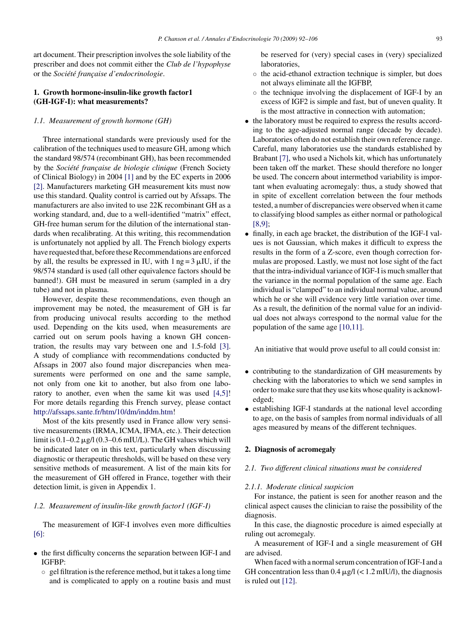art document. Their prescription involves the sole liability of the prescriber and does not commit either the *Club de l'hypophyse* or the *Société française d'endocrinologie*.

# **1. Growth hormone-insulin-like growth factor1 (GH-IGF-I): what measurements?**

# *1.1. Measurement of growth hormone (GH)*

Three international standards were previously used for the calibration of the techniques used to measure GH, among which the standard 98/574 (recombinant GH), has been recommended by the *Société française de biologie clinique* (French Society of Clinical Biology) in 2004 [\[1\]](#page-11-0) and by the EC experts in 2006 [\[2\].](#page-11-0) Manufacturers marketing GH measurement kits must now use this standard. Quality control is carried out by Afssaps. The manufacturers are also invited to use 22K recombinant GH as a working standard, and, due to a well-identified "matrix" effect, GH-free human serum for the dilution of the international standards when recalibrating. At this writing, this recommendation is unfortunately not applied by all. The French biology experts have requested that, before these Recommendations are enforced by all, the results be expressed in IU, with  $1 \text{ ng} = 3 \mu \text{IU}$ , if the 98/574 standard is used (all other equivalence factors should be banned!). GH must be measured in serum (sampled in a dry tube) and not in plasma.

However, despite these recommendations, even though an improvement may be noted, the measurement of GH is far from producing univocal results according to the method used. Depending on the kits used, when measurements are carried out on serum pools having a known GH concentration, the results may vary between one and 1.5-fold [\[3\].](#page-11-0) A study of compliance with recommendations conducted by Afssaps in 2007 also found major discrepancies when measurements were performed on one and the same sample, not only from one kit to another, but also from one laboratory to another, even when the same kit was used [\[4,5\]!](#page-11-0) For more details regarding this French survey, please contact <http://afssaps.sante.fr/htm/10/dm/inddm.htm>!

Most of the kits presently used in France allow very sensitive measurements (IRMA, ICMA, IFMA, etc.). Their detection limit is  $0.1 - 0.2 \mu g / 1$  (0.3–0.6 mIU/L). The GH values which will be indicated later on in this text, particularly when discussing diagnostic or therapeutic thresholds, will be based on these very sensitive methods of measurement. A list of the main kits for the measurement of GH offered in France, together with their detection limit, is given in Appendix 1.

# *1.2. Measurement of insulin-like growth factor1 (IGF-I)*

The measurement of IGF-I involves even more difficulties [\[6\]:](#page-11-0)

- the first difficulty concerns the separation between IGF-I and IGFBP:
	- gel filtration is the reference method, but it takes a long time and is complicated to apply on a routine basis and must

be reserved for (very) special cases in (very) specialized laboratories,

- the acid-ethanol extraction technique is simpler, but does not always eliminate all the IGFBP,
- the technique involving the displacement of IGF-I by an excess of IGF2 is simple and fast, but of uneven quality. It is the most attractive in connection with automation;
- the laboratory must be required to express the results according to the age-adjusted normal range (decade by decade). Laboratories often do not establish their own reference range. Careful, many laboratories use the standards established by Brabant [\[7\], w](#page-11-0)ho used a Nichols kit, which has unfortunately been taken off the market. These should therefore no longer be used. The concern about intermethod variability is important when evaluating acromegaly: thus, a study showed that in spite of excellent correlation between the four methods tested, a number of discrepancies were observed when it came to classifying blood samples as either normal or pathological [\[8,9\];](#page-11-0)
- finally, in each age bracket, the distribution of the IGF-I values is not Gaussian, which makes it difficult to express the results in the form of a Z-score, even though correction formulas are proposed. Lastly, we must not lose sight of the fact that the intra-individual variance of IGF-I is much smaller that the variance in the normal population of the same age. Each individual is "clamped" to an individual normal value, around which he or she will evidence very little variation over time. As a result, the definition of the normal value for an individual does not always correspond to the normal value for the population of the same age [\[10,11\].](#page-11-0)

An initiative that would prove useful to all could consist in:

- contributing to the standardization of GH measurements by checking with the laboratories to which we send samples in order to make sure that they use kits whose quality is acknowledged;
- establishing IGF-I standards at the national level according to age, on the basis of samples from normal individuals of all ages measured by means of the different techniques.

#### **2. Diagnosis of acromegaly**

### *2.1. Two different clinical situations must be considered*

#### *2.1.1. Moderate clinical suspicion*

For instance, the patient is seen for another reason and the clinical aspect causes the clinician to raise the possibility of the diagnosis.

In this case, the diagnostic procedure is aimed especially at ruling out acromegaly.

A measurement of IGF-I and a single measurement of GH are advised.

When faced with a normal serum concentration of IGF-I and a GH concentration less than  $0.4 \mu g/l$  (< 1.2 mIU/l), the diagnosis is ruled out [\[12\].](#page-11-0)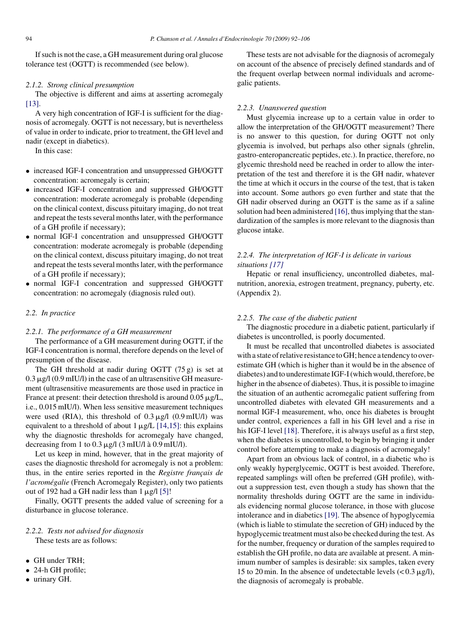If such is not the case, a GH measurement during oral glucose tolerance test (OGTT) is recommended (see below).

### *2.1.2. Strong clinical presumption*

The objective is different and aims at asserting acromegaly [\[13\].](#page-11-0)

A very high concentration of IGF-I is sufficient for the diagnosis of acromegaly. OGTT is not necessary, but is nevertheless of value in order to indicate, prior to treatment, the GH level and nadir (except in diabetics).

In this case:

- increased IGF-I concentration and unsuppressed GH/OGTT concentration: acromegaly is certain;
- increased IGF-I concentration and suppressed GH/OGTT concentration: moderate acromegaly is probable (depending on the clinical context, discuss pituitary imaging, do not treat and repeat the tests several months later, with the performance of a GH profile if necessary);
- normal IGF-I concentration and unsuppressed GH/OGTT concentration: moderate acromegaly is probable (depending on the clinical context, discuss pituitary imaging, do not treat and repeat the tests several months later, with the performance of a GH profile if necessary);
- normal IGF-I concentration and suppressed GH/OGTT concentration: no acromegaly (diagnosis ruled out).

### *2.2. In practice*

#### *2.2.1. The performance of a GH measurement*

The performance of a GH measurement during OGTT, if the IGF-I concentration is normal, therefore depends on the level of presumption of the disease.

The GH threshold at nadir during OGTT (75 g) is set at  $0.3 \,\mu$ g/l (0.9 mIU/l) in the case of an ultrasensitive GH measurement (ultrasensitive measurements are those used in practice in France at present: their detection threshold is around  $0.05 \mu g/L$ , i.e., 0.015 mIU/l). When less sensitive measurement techniques were used (RIA), this threshold of  $0.3 \mu g / (0.9 \text{ m})$  was equivalent to a threshold of about  $1 \mu g/L$  [\[14,15\]:](#page-11-0) this explains why the diagnostic thresholds for acromegaly have changed, decreasing from 1 to  $0.3 \mu g/l$  (3 mIU/l à  $0.9$  mIU/l).

Let us keep in mind, however, that in the great majority of cases the diagnostic threshold for acromegaly is not a problem: thus, in the entire series reported in the *Registre français de l'acromégalie* (French Acromegaly Register), only two patients out of 192 had a GH nadir less than  $1 \mu g / 1$  [\[5\]!](#page-11-0)

Finally, OGTT presents the added value of screening for a disturbance in glucose tolerance.

# *2.2.2. Tests not advised for diagnosis* These tests are as follows:

- GH under TRH;
- 24-h GH profile;
- urinary GH.

These tests are not advisable for the diagnosis of acromegaly on account of the absence of precisely defined standards and of the frequent overlap between normal individuals and acromegalic patients.

#### *2.2.3. Unanswered question*

Must glycemia increase up to a certain value in order to allow the interpretation of the GH/OGTT measurement? There is no answer to this question, for during OGTT not only glycemia is involved, but perhaps also other signals (ghrelin, gastro-enteropancreatic peptides, etc.). In practice, therefore, no glycemic threshold need be reached in order to allow the interpretation of the test and therefore it is the GH nadir, whatever the time at which it occurs in the course of the test, that is taken into account. Some authors go even further and state that the GH nadir observed during an OGTT is the same as if a saline solution had been administered [\[16\], t](#page-11-0)hus implying that the standardization of the samples is more relevant to the diagnosis than glucose intake.

# *2.2.4. The interpretation of IGF-I is delicate in various situations [\[17\]](#page-11-0)*

Hepatic or renal insufficiency, uncontrolled diabetes, malnutrition, anorexia, estrogen treatment, pregnancy, puberty, etc. (Appendix 2).

### *2.2.5. The case of the diabetic patient*

The diagnostic procedure in a diabetic patient, particularly if diabetes is uncontrolled, is poorly documented.

It must be recalled that uncontrolled diabetes is associated with a state of relative resistance to GH; hence a tendency to overestimate GH (which is higher than it would be in the absence of diabetes) and to underestimate IGF-I (which would, therefore, be higher in the absence of diabetes). Thus, it is possible to imagine the situation of an authentic acromegalic patient suffering from uncontrolled diabetes with elevated GH measurements and a normal IGF-I measurement, who, once his diabetes is brought under control, experiences a fall in his GH level and a rise in his IGF-I level [\[18\]. T](#page-11-0)herefore, it is always useful as a first step, when the diabetes is uncontrolled, to begin by bringing it under control before attempting to make a diagnosis of acromegaly!

Apart from an obvious lack of control, in a diabetic who is only weakly hyperglycemic, OGTT is best avoided. Therefore, repeated samplings will often be preferred (GH profile), without a suppression test, even though a study has shown that the normality thresholds during OGTT are the same in individuals evidencing normal glucose tolerance, in those with glucose intolerance and in diabetics [\[19\].](#page-11-0) The absence of hypoglycemia (which is liable to stimulate the secretion of GH) induced by the hypoglycemic treatment must also be checked during the test. As for the number, frequency or duration of the samples required to establish the GH profile, no data are available at present. A minimum number of samples is desirable: six samples, taken every 15 to 20 min. In the absence of undetectable levels  $(< 0.3 \text{ µg/l})$ , the diagnosis of acromegaly is probable.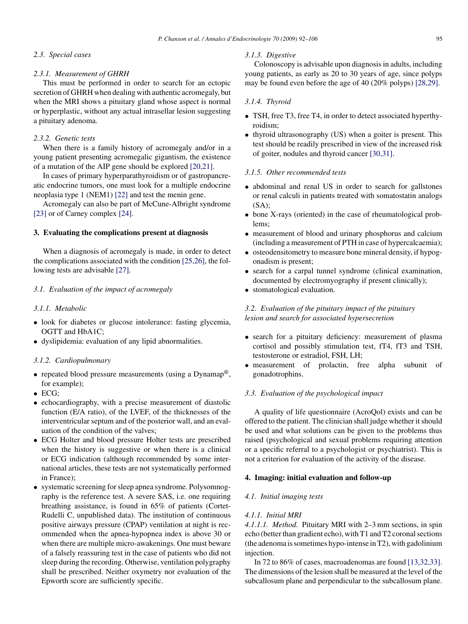### *2.3. Special cases*

### *2.3.1. Measurement of GHRH*

This must be performed in order to search for an ectopic secretion of GHRH when dealing with authentic acromegaly, but when the MRI shows a pituitary gland whose aspect is normal or hyperplastic, without any actual intrasellar lesion suggesting a pituitary adenoma.

### *2.3.2. Genetic tests*

When there is a family history of acromegaly and/or in a young patient presenting acromegalic gigantism, the existence of a mutation of the AIP gene should be explored [\[20,21\].](#page-11-0)

In cases of primary hyperparathyroidism or of gastropancreatic endocrine tumors, one must look for a multiple endocrine neoplasia type 1 (NEM1) [\[22\]](#page-11-0) and test the menin gene.

Acromegaly can also be part of McCune-Albright syndrome [\[23\]](#page-11-0) or of Carney complex [\[24\].](#page-11-0)

#### **3. Evaluating the complications present at diagnosis**

When a diagnosis of acromegaly is made, in order to detect the complications associated with the condition [\[25,26\], t](#page-11-0)he following tests are advisable [\[27\].](#page-11-0)

# *3.1. Evaluation of the impact of acromegaly*

### *3.1.1. Metabolic*

- look for diabetes or glucose intolerance: fasting glycemia, OGTT and HbA1C;
- dyslipidemia: evaluation of any lipid abnormalities.

#### *3.1.2. Cardiopulmonary*

- repeated blood pressure measurements (using a Dynamap<sup>®</sup>, for example);
- ECG;
- echocardiography, with a precise measurement of diastolic function (E/A ratio), of the LVEF, of the thicknesses of the interventricular septum and of the posterior wall, and an evaluation of the condition of the valves;
- ECG Holter and blood pressure Holter tests are prescribed when the history is suggestive or when there is a clinical or ECG indication (although recommended by some international articles, these tests are not systematically performed in France);
- systematic screening for sleep apnea syndrome. Polysomnography is the reference test. A severe SAS, i.e. one requiring breathing assistance, is found in 65% of patients (Cortet-Rudelli C, unpublished data). The institution of continuous positive airways pressure (CPAP) ventilation at night is recommended when the apnea-hypopnea index is above 30 or when there are multiple micro-awakenings. One must beware of a falsely reassuring test in the case of patients who did not sleep during the recording. Otherwise, ventilation polygraphy shall be prescribed. Neither oxymetry nor evaluation of the Epworth score are sufficiently specific.

### *3.1.3. Digestive*

Colonoscopy is advisable upon diagnosis in adults, including young patients, as early as 20 to 30 years of age, since polyps may be found even before the age of 40 (20% polyps) [\[28,29\].](#page-12-0)

### *3.1.4. Thyroid*

- TSH, free T3, free T4, in order to detect associated hyperthyroidism;
- thyroid ultrasonography (US) when a goiter is present. This test should be readily prescribed in view of the increased risk of goiter, nodules and thyroid cancer [\[30,31\].](#page-12-0)

### *3.1.5. Other recommended tests*

- abdominal and renal US in order to search for gallstones or renal calculi in patients treated with somatostatin analogs  $(SA)$ :
- bone X-rays (oriented) in the case of rheumatological problems;
- measurement of blood and urinary phosphorus and calcium (including a measurement of PTH in case of hypercalcaemia);
- osteodensitometry to measure bone mineral density, if hypogonadism is present;
- search for a carpal tunnel syndrome (clinical examination, documented by electromyography if present clinically);
- stomatological evaluation.

# *3.2. Evaluation of the pituitary impact of the pituitary lesion and search for associated hypersecretion*

- search for a pituitary deficiency: measurement of plasma cortisol and possibly stimulation test, fT4, fT3 and TSH, testosterone or estradiol, FSH, LH;
- measurement of prolactin, free alpha subunit of gonadotrophins.

# *3.3. Evaluation of the psychological impact*

A quality of life questionnaire (AcroQol) exists and can be offered to the patient. The clinician shall judge whether it should be used and what solutions can be given to the problems thus raised (psychological and sexual problems requiring attention or a specific referral to a psychologist or psychiatrist). This is not a criterion for evaluation of the activity of the disease.

### **4. Imaging: initial evaluation and follow-up**

#### *4.1. Initial imaging tests*

### *4.1.1. Initial MRI*

*4.1.1.1. Method.* Pituitary MRI with 2–3 mm sections, in spin echo (better than gradient echo), with T1 and T2 coronal sections (the adenoma is sometimes hypo-intense in T2), with gadolinium injection.

In 72 to 86% of cases, macroadenomas are found [\[13,32,33\].](#page-11-0) The dimensions of the lesion shall be measured at the level of the subcallosum plane and perpendicular to the subcallosum plane.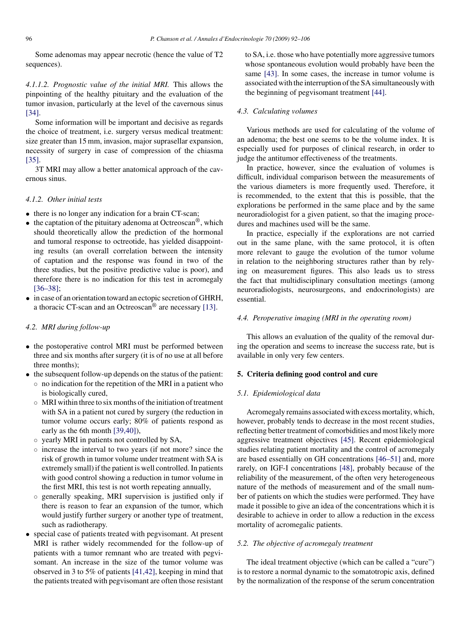Some adenomas may appear necrotic (hence the value of T2 sequences).

*4.1.1.2. Prognostic value of the initial MRI.* This allows the pinpointing of the healthy pituitary and the evaluation of the tumor invasion, particularly at the level of the cavernous sinus [\[34\].](#page-12-0)

Some information will be important and decisive as regards the choice of treatment, i.e. surgery versus medical treatment: size greater than 15 mm, invasion, major suprasellar expansion, necessity of surgery in case of compression of the chiasma [\[35\].](#page-12-0)

3T MRI may allow a better anatomical approach of the cavernous sinus.

### *4.1.2. Other initial tests*

- there is no longer any indication for a brain CT-scan;
- the captation of the pituitary adenoma at Octreoscan<sup>®</sup>, which should theoretically allow the prediction of the hormonal and tumoral response to octreotide, has yielded disappointing results (an overall correlation between the intensity of captation and the response was found in two of the three studies, but the positive predictive value is poor), and therefore there is no indication for this test in acromegaly [\[36–38\];](#page-12-0)
- in case of an orientation toward an ectopic secretion of GHRH, a thoracic CT-scan and an Octreoscan® are necessary [\[13\].](#page-11-0)

### *4.2. MRI during follow-up*

- the postoperative control MRI must be performed between three and six months after surgery (it is of no use at all before three months);
- the subsequent follow-up depends on the status of the patient: ◦ no indication for the repetition of the MRI in a patient who is biologically cured,
	- MRI within three to six months of the initiation of treatment with SA in a patient not cured by surgery (the reduction in tumor volume occurs early; 80% of patients respond as early as the 6th month [\[39,40\]\),](#page-12-0)
	- yearly MRI in patients not controlled by SA,
	- increase the interval to two years (if not more? since the risk of growth in tumor volume under treatment with SA is extremely small) if the patient is well controlled. In patients with good control showing a reduction in tumor volume in the first MRI, this test is not worth repeating annually,
	- generally speaking, MRI supervision is justified only if there is reason to fear an expansion of the tumor, which would justify further surgery or another type of treatment, such as radiotherapy.
- special case of patients treated with pegvisomant. At present MRI is rather widely recommended for the follow-up of patients with a tumor remnant who are treated with pegvisomant. An increase in the size of the tumor volume was observed in 3 to 5% of patients [\[41,42\],](#page-12-0) keeping in mind that the patients treated with pegvisomant are often those resistant

to SA, i.e. those who have potentially more aggressive tumors whose spontaneous evolution would probably have been the same [\[43\].](#page-12-0) In some cases, the increase in tumor volume is associated with the interruption of the SA simultaneously with the beginning of pegvisomant treatment [\[44\].](#page-12-0)

### *4.3. Calculating volumes*

Various methods are used for calculating of the volume of an adenoma; the best one seems to be the volume index. It is especially used for purposes of clinical research, in order to judge the antitumor effectiveness of the treatments.

In practice, however, since the evaluation of volumes is difficult, individual comparison between the measurements of the various diameters is more frequently used. Therefore, it is recommended, to the extent that this is possible, that the explorations be performed in the same place and by the same neuroradiologist for a given patient, so that the imaging procedures and machines used will be the same.

In practice, especially if the explorations are not carried out in the same plane, with the same protocol, it is often more relevant to gauge the evolution of the tumor volume in relation to the neighboring structures rather than by relying on measurement figures. This also leads us to stress the fact that multidisciplinary consultation meetings (among neuroradiologists, neurosurgeons, and endocrinologists) are essential.

#### *4.4. Peroperative imaging (MRI in the operating room)*

This allows an evaluation of the quality of the removal during the operation and seems to increase the success rate, but is available in only very few centers.

#### **5. Criteria defining good control and cure**

### *5.1. Epidemiological data*

Acromegaly remains associated with excess mortality, which, however, probably tends to decrease in the most recent studies, reflecting better treatment of comorbidities and most likely more aggressive treatment objectives [\[45\].](#page-12-0) Recent epidemiological studies relating patient mortality and the control of acromegaly are based essentially on GH concentrations [\[46–51\]](#page-12-0) and, more rarely, on IGF-I concentrations [\[48\],](#page-12-0) probably because of the reliability of the measurement, of the often very heterogeneous nature of the methods of measurement and of the small number of patients on which the studies were performed. They have made it possible to give an idea of the concentrations which it is desirable to achieve in order to allow a reduction in the excess mortality of acromegalic patients.

### *5.2. The objective of acromegaly treatment*

The ideal treatment objective (which can be called a "cure") is to restore a normal dynamic to the somatotropic axis, defined by the normalization of the response of the serum concentration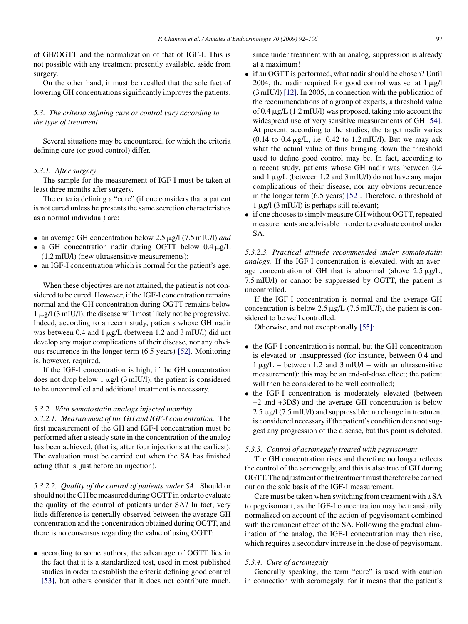of GH/OGTT and the normalization of that of IGF-I. This is not possible with any treatment presently available, aside from surgery.

On the other hand, it must be recalled that the sole fact of lowering GH concentrations significantly improves the patients.

# *5.3. The criteria defining cure or control vary according to the type of treatment*

Several situations may be encountered, for which the criteria defining cure (or good control) differ.

#### *5.3.1. After surgery*

The sample for the measurement of IGF-I must be taken at least three months after surgery.

The criteria defining a "cure" (if one considers that a patient is not cured unless he presents the same secretion characteristics as a normal individual) are:

- an average GH concentration below  $2.5 \mu g / (7.5 \text{ m})$  *and*
- a GH concentration nadir during OGTT below  $0.4 \mu g/L$ (1.2 mIU/l) (new ultrasensitive measurements);
- an IGF-I concentration which is normal for the patient's age.

When these objectives are not attained, the patient is not considered to be cured. However, if the IGF-I concentration remains normal and the GH concentration during OGTT remains below 1-g/l (3 mIU/l), the disease will most likely not be progressive. Indeed, according to a recent study, patients whose GH nadir was between  $0.4$  and  $1 \mu g/L$  (between 1.2 and 3 mIU/l) did not develop any major complications of their disease, nor any obvious recurrence in the longer term (6.5 years) [\[52\].](#page-12-0) Monitoring is, however, required.

If the IGF-I concentration is high, if the GH concentration does not drop below  $1 \mu g /$ l (3 mIU/l), the patient is considered to be uncontrolled and additional treatment is necessary.

#### *5.3.2. With somatostatin analogs injected monthly*

*5.3.2.1. Measurement of the GH and IGF-I concentration.* The first measurement of the GH and IGF-I concentration must be performed after a steady state in the concentration of the analog has been achieved, (that is, after four injections at the earliest). The evaluation must be carried out when the SA has finished acting (that is, just before an injection).

*5.3.2.2. Quality of the control of patients under SA.* Should or should not the GH be measured during OGTT in order to evaluate the quality of the control of patients under SA? In fact, very little difference is generally observed between the average GH concentration and the concentration obtained during OGTT, and there is no consensus regarding the value of using OGTT:

• according to some authors, the advantage of OGTT lies in the fact that it is a standardized test, used in most published studies in order to establish the criteria defining good control [\[53\],](#page-12-0) but others consider that it does not contribute much,

since under treatment with an analog, suppression is already at a maximum!

- if an OGTT is performed, what nadir should be chosen? Until 2004, the nadir required for good control was set at  $1 \mu g/l$ (3 mIU/l) [\[12\]. I](#page-11-0)n 2005, in connection with the publication of the recommendations of a group of experts, a threshold value of 0.4  $\mu$ g/L (1.2 mIU/l) was proposed, taking into account the widespread use of very sensitive measurements of GH [\[54\].](#page-12-0) At present, according to the studies, the target nadir varies  $(0.14 \text{ to } 0.4 \mu g/L, \text{ i.e. } 0.42 \text{ to } 1.2 \text{ m}$  [U/l]. But we may ask what the actual value of thus bringing down the threshold used to define good control may be. In fact, according to a recent study, patients whose GH nadir was between 0.4 and 1  $\mu$ g/L (between 1.2 and 3 mIU/l) do not have any major complications of their disease, nor any obvious recurrence in the longer term (6.5 years) [\[52\].](#page-12-0) Therefore, a threshold of 1-g/l (3 mIU/l) is perhaps still relevant;
- if one chooses to simply measure GH without OGTT, repeated measurements are advisable in order to evaluate control under SA.

*5.3.2.3. Practical attitude recommended under somatostatin analogs.* If the IGF-I concentration is elevated, with an average concentration of GH that is abnormal (above  $2.5 \mu g/L$ , 7.5 mIU/l) or cannot be suppressed by OGTT, the patient is uncontrolled.

If the IGF-I concentration is normal and the average GH concentration is below  $2.5 \mu g/L$  (7.5 mIU/l), the patient is considered to be well controlled.

Otherwise, and not exceptionally [\[55\]:](#page-12-0)

- the IGF-I concentration is normal, but the GH concentration is elevated or unsuppressed (for instance, between 0.4 and  $1 \mu g/L$  – between 1.2 and  $3 \text{ mI} U/l$  – with an ultrasensitive measurement): this may be an end-of-dose effect; the patient will then be considered to be well controlled;
- the IGF-I concentration is moderately elevated (between +2 and +3DS) and the average GH concentration is below 2.5  $\mu$ g/l (7.5 mIU/l) and suppressible: no change in treatment is considered necessary if the patient's condition does not suggest any progression of the disease, but this point is debated.

#### *5.3.3. Control of acromegaly treated with pegvisomant*

The GH concentration rises and therefore no longer reflects the control of the acromegaly, and this is also true of GH during OGTT. The adjustment of the treatment must therefore be carried out on the sole basis of the IGF-I measurement.

Care must be taken when switching from treatment with a SA to pegvisomant, as the IGF-I concentration may be transitorily normalized on account of the action of pegvisomant combined with the remanent effect of the SA. Following the gradual elimination of the analog, the IGF-I concentration may then rise, which requires a secondary increase in the dose of pegvisomant.

### *5.3.4. Cure of acromegaly*

Generally speaking, the term "cure" is used with caution in connection with acromegaly, for it means that the patient's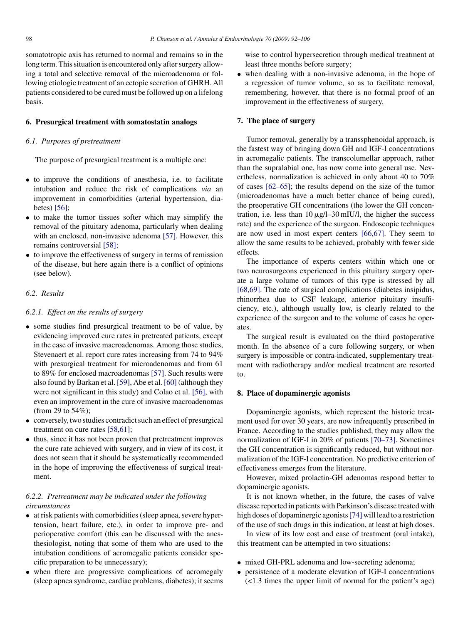somatotropic axis has returned to normal and remains so in the long term. This situation is encountered only after surgery allowing a total and selective removal of the microadenoma or following etiologic treatment of an ectopic secretion of GHRH. All patients considered to be cured must be followed up on a lifelong basis.

### **6. Presurgical treatment with somatostatin analogs**

### *6.1. Purposes of pretreatment*

The purpose of presurgical treatment is a multiple one:

- to improve the conditions of anesthesia, i.e. to facilitate intubation and reduce the risk of complications *via* an improvement in comorbidities (arterial hypertension, diabetes) [\[56\];](#page-12-0)
- to make the tumor tissues softer which may simplify the removal of the pituitary adenoma, particularly when dealing with an enclosed, non-invasive adenoma [\[57\]. H](#page-12-0)owever, this remains controversial [\[58\];](#page-12-0)
- to improve the effectiveness of surgery in terms of remission of the disease, but here again there is a conflict of opinions (see below).

### *6.2. Results*

### *6.2.1. Effect on the results of surgery*

- some studies find presurgical treatment to be of value, by evidencing improved cure rates in pretreated patients, except in the case of invasive macroadenomas. Among those studies, Stevenaert et al. report cure rates increasing from 74 to 94% with presurgical treatment for microadenomas and from 61 to 89% for enclosed macroadenomas [\[57\]. S](#page-12-0)uch results were also found by Barkan et al. [\[59\], A](#page-12-0)be et al. [\[60\]](#page-12-0) (although they were not significant in this study) and Colao et al. [\[56\],](#page-12-0) with even an improvement in the cure of invasive macroadenomas (from 29 to 54%);
- conversely, two studies contradict such an effect of presurgical treatment on cure rates [\[58,61\];](#page-12-0)
- thus, since it has not been proven that pretreatment improves the cure rate achieved with surgery, and in view of its cost, it does not seem that it should be systematically recommended in the hope of improving the effectiveness of surgical treatment.

# *6.2.2. Pretreatment may be indicated under the following circumstances*

- at risk patients with comorbidities (sleep apnea, severe hypertension, heart failure, etc.), in order to improve pre- and perioperative comfort (this can be discussed with the anesthesiologist, noting that some of them who are used to the intubation conditions of acromegalic patients consider specific preparation to be unnecessary);
- when there are progressive complications of acromegaly (sleep apnea syndrome, cardiac problems, diabetes); it seems

wise to control hypersecretion through medical treatment at least three months before surgery;

• when dealing with a non-invasive adenoma, in the hope of a regression of tumor volume, so as to facilitate removal, remembering, however, that there is no formal proof of an improvement in the effectiveness of surgery.

# **7. The place of surgery**

Tumor removal, generally by a transsphenoidal approach, is the fastest way of bringing down GH and IGF-I concentrations in acromegalic patients. The transcolumellar approach, rather than the supralabial one, has now come into general use. Nevertheless, normalization is achieved in only about 40 to 70% of cases [\[62–65\];](#page-12-0) the results depend on the size of the tumor (microadenomas have a much better chance of being cured), the preoperative GH concentrations (the lower the GH concentration, i.e. less than  $10 \mu g/l - 30 \text{ m}$  IU/l, the higher the success rate) and the experience of the surgeon. Endoscopic techniques are now used in most expert centers [\[66,67\].](#page-12-0) They seem to allow the same results to be achieved, probably with fewer side effects.

The importance of experts centers within which one or two neurosurgeons experienced in this pituitary surgery operate a large volume of tumors of this type is stressed by all [\[68,69\].](#page-13-0) The rate of surgical complications (diabetes insipidus, rhinorrhea due to CSF leakage, anterior pituitary insufficiency, etc.), although usually low, is clearly related to the experience of the surgeon and to the volume of cases he operates.

The surgical result is evaluated on the third postoperative month. In the absence of a cure following surgery, or when surgery is impossible or contra-indicated, supplementary treatment with radiotherapy and/or medical treatment are resorted to.

### **8. Place of dopaminergic agonists**

Dopaminergic agonists, which represent the historic treatment used for over 30 years, are now infrequently prescribed in France. According to the studies published, they may allow the normalization of IGF-I in 20% of patients [\[70–73\].](#page-13-0) Sometimes the GH concentration is significantly reduced, but without normalization of the IGF-I concentration. No predictive criterion of effectiveness emerges from the literature.

However, mixed prolactin-GH adenomas respond better to dopaminergic agonists.

It is not known whether, in the future, the cases of valve disease reported in patients with Parkinson's disease treated with high doses of dopaminergic agonists [74] will lead to a restriction of the use of such drugs in this indication, at least at high doses.

In view of its low cost and ease of treatment (oral intake), this treatment can be attempted in two situations:

- mixed GH-PRL adenoma and low-secreting adenoma;
- persistence of a moderate elevation of IGF-I concentrations (<1.3 times the upper limit of normal for the patient's age)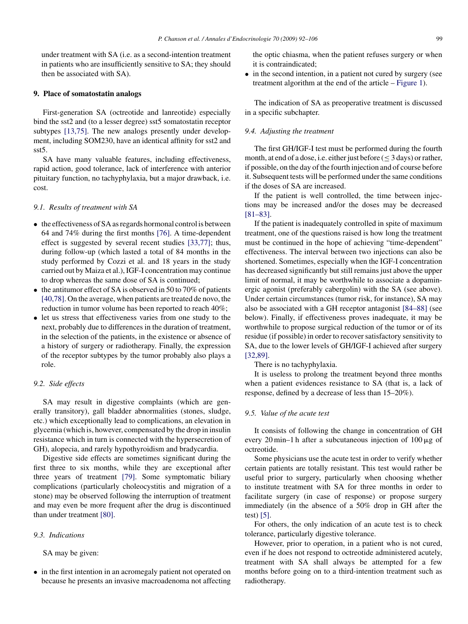under treatment with SA (i.e. as a second-intention treatment in patients who are insufficiently sensitive to SA; they should then be associated with SA).

### **9. Place of somatostatin analogs**

First-generation SA (octreotide and lanreotide) especially bind the sst2 and (to a lesser degree) sst5 somatostatin receptor subtypes [\[13,75\].](#page-11-0) The new analogs presently under development, including SOM230, have an identical affinity for sst2 and sst5.

SA have many valuable features, including effectiveness, rapid action, good tolerance, lack of interference with anterior pituitary function, no tachyphylaxia, but a major drawback, i.e. cost.

### *9.1. Results of treatment with SA*

- the effectiveness of SA as regards hormonal control is between 64 and 74% during the first months [\[76\].](#page-13-0) A time-dependent effect is suggested by several recent studies [\[33,77\];](#page-12-0) thus, during follow-up (which lasted a total of 84 months in the study performed by Cozzi et al. and 18 years in the study carried out by Maiza et al.), IGF-I concentration may continue to drop whereas the same dose of SA is continued;
- the antitumor effect of SA is observed in 50 to 70% of patients [\[40,78\]. O](#page-12-0)n the average, when patients are treated de novo, the reduction in tumor volume has been reported to reach 40%;
- let us stress that effectiveness varies from one study to the next, probably due to differences in the duration of treatment, in the selection of the patients, in the existence or absence of a history of surgery or radiotherapy. Finally, the expression of the receptor subtypes by the tumor probably also plays a role.

### *9.2. Side effects*

SA may result in digestive complaints (which are generally transitory), gall bladder abnormalities (stones, sludge, etc.) which exceptionally lead to complications, an elevation in glycemia (which is, however, compensated by the drop in insulin resistance which in turn is connected with the hypersecretion of GH), alopecia, and rarely hypothyroidism and bradycardia.

Digestive side effects are sometimes significant during the first three to six months, while they are exceptional after three years of treatment [\[79\].](#page-13-0) Some symptomatic biliary complications (particularly choleocystitis and migration of a stone) may be observed following the interruption of treatment and may even be more frequent after the drug is discontinued than under treatment [\[80\].](#page-13-0)

# *9.3. Indications*

SA may be given:

• in the first intention in an acromegaly patient not operated on because he presents an invasive macroadenoma not affecting the optic chiasma, when the patient refuses surgery or when it is contraindicated;

• in the second intention, in a patient not cured by surgery (see treatment algorithm at the end of the article – [Figure 1\).](#page-10-0)

The indication of SA as preoperative treatment is discussed in a specific subchapter.

# *9.4. Adjusting the treatment*

The first GH/IGF-I test must be performed during the fourth month, at end of a dose, i.e. either just before  $(< 3$  days) or rather, if possible, on the day of the fourth injection and of course before it. Subsequent tests will be performed under the same conditions if the doses of SA are increased.

If the patient is well controlled, the time between injections may be increased and/or the doses may be decreased [\[81–83\].](#page-13-0)

If the patient is inadequately controlled in spite of maximum treatment, one of the questions raised is how long the treatment must be continued in the hope of achieving "time-dependent" effectiveness. The interval between two injections can also be shortened. Sometimes, especially when the IGF-I concentration has decreased significantly but still remains just above the upper limit of normal, it may be worthwhile to associate a dopaminergic agonist (preferably cabergolin) with the SA (see above). Under certain circumstances (tumor risk, for instance), SA may also be associated with a GH receptor antagonist [\[84–88\]](#page-13-0) (see below). Finally, if effectiveness proves inadequate, it may be worthwhile to propose surgical reduction of the tumor or of its residue (if possible) in order to recover satisfactory sensitivity to SA, due to the lower levels of GH/IGF-I achieved after surgery [\[32,89\].](#page-12-0)

There is no tachyphylaxia.

It is useless to prolong the treatment beyond three months when a patient evidences resistance to SA (that is, a lack of response, defined by a decrease of less than 15–20%).

#### *9.5. Value of the acute test*

It consists of following the change in concentration of GH every 20 min–1 h after a subcutaneous injection of  $100 \mu g$  of octreotide.

Some physicians use the acute test in order to verify whether certain patients are totally resistant. This test would rather be useful prior to surgery, particularly when choosing whether to institute treatment with SA for three months in order to facilitate surgery (in case of response) or propose surgery immediately (in the absence of a 50% drop in GH after the test) [\[5\].](#page-11-0)

For others, the only indication of an acute test is to check tolerance, particularly digestive tolerance.

However, prior to operation, in a patient who is not cured, even if he does not respond to octreotide administered acutely, treatment with SA shall always be attempted for a few months before going on to a third-intention treatment such as radiotherapy.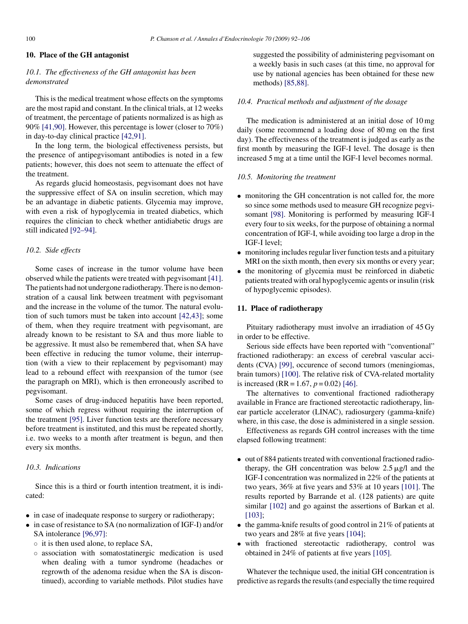### **10. Place of the GH antagonist**

# *10.1. The effectiveness of the GH antagonist has been demonstrated*

This is the medical treatment whose effects on the symptoms are the most rapid and constant. In the clinical trials, at 12 weeks of treatment, the percentage of patients normalized is as high as 90% [\[41,90\].](#page-12-0) However, this percentage is lower (closer to 70%) in day-to-day clinical practice [\[42,91\].](#page-12-0)

In the long term, the biological effectiveness persists, but the presence of antipegvisomant antibodies is noted in a few patients; however, this does not seem to attenuate the effect of the treatment.

As regards glucid homeostasis, pegvisomant does not have the suppressive effect of SA on insulin secretion, which may be an advantage in diabetic patients. Glycemia may improve, with even a risk of hypoglycemia in treated diabetics, which requires the clinician to check whether antidiabetic drugs are still indicated [\[92–94\].](#page-13-0)

### *10.2. Side effects*

Some cases of increase in the tumor volume have been observed while the patients were treated with pegvisomant [\[41\].](#page-12-0) The patients had not undergone radiotherapy. There is no demonstration of a causal link between treatment with pegvisomant and the increase in the volume of the tumor. The natural evolution of such tumors must be taken into account [\[42,43\];](#page-12-0) some of them, when they require treatment with pegvisomant, are already known to be resistant to SA and thus more liable to be aggressive. It must also be remembered that, when SA have been effective in reducing the tumor volume, their interruption (with a view to their replacement by pegvisomant) may lead to a rebound effect with reexpansion of the tumor (see the paragraph on MRI), which is then erroneously ascribed to pegvisomant.

Some cases of drug-induced hepatitis have been reported, some of which regress without requiring the interruption of the treatment [\[95\].](#page-13-0) Liver function tests are therefore necessary before treatment is instituted, and this must be repeated shortly, i.e. two weeks to a month after treatment is begun, and then every six months.

# *10.3. Indications*

Since this is a third or fourth intention treatment, it is indicated:

- in case of inadequate response to surgery or radiotherapy;
- in case of resistance to SA (no normalization of IGF-I) and/or SA intolerance [\[96,97\]:](#page-13-0)
	- it is then used alone, to replace SA,
	- association with somatostatinergic medication is used when dealing with a tumor syndrome (headaches or regrowth of the adenoma residue when the SA is discontinued), according to variable methods. Pilot studies have

suggested the possibility of administering pegvisomant on a weekly basis in such cases (at this time, no approval for use by national agencies has been obtained for these new methods) [\[85,88\].](#page-13-0)

#### *10.4. Practical methods and adjustment of the dosage*

The medication is administered at an initial dose of 10 mg daily (some recommend a loading dose of 80 mg on the first day). The effectiveness of the treatment is judged as early as the first month by measuring the IGF-I level. The dosage is then increased 5 mg at a time until the IGF-I level becomes normal.

#### *10.5. Monitoring the treatment*

- monitoring the GH concentration is not called for, the more so since some methods used to measure GH recognize pegvisomant [\[98\].](#page-13-0) Monitoring is performed by measuring IGF-I every four to six weeks, for the purpose of obtaining a normal concentration of IGF-I, while avoiding too large a drop in the IGF-I level;
- monitoring includes regular liver function tests and a pituitary MRI on the sixth month, then every six months or every year;
- the monitoring of glycemia must be reinforced in diabetic patients treated with oral hypoglycemic agents or insulin (risk of hypoglycemic episodes).

### **11. Place of radiotherapy**

Pituitary radiotherapy must involve an irradiation of 45 Gy in order to be effective.

Serious side effects have been reported with "conventional" fractioned radiotherapy: an excess of cerebral vascular accidents (CVA) [\[99\],](#page-13-0) occurence of second tumors (meningiomas, brain tumors) [\[100\].](#page-13-0) The relative risk of CVA-related mortality is increased (RR = 1.67,  $p = 0.02$ ) [\[46\].](#page-12-0)

The alternatives to conventional fractioned radiotherapy available in France are fractioned stereotactic radiotherapy, linear particle accelerator (LINAC), radiosurgery (gamma-knife) where, in this case, the dose is administered in a single session.

Effectiveness as regards GH control increases with the time elapsed following treatment:

- out of 884 patients treated with conventional fractioned radiotherapy, the GH concentration was below  $2.5 \mu g/l$  and the IGF-I concentration was normalized in 22% of the patients at two years, 36% at five years and 53% at 10 years [\[101\].](#page-13-0) The results reported by Barrande et al. (128 patients) are quite similar [\[102\]](#page-13-0) and go against the assertions of Barkan et al. [\[103\];](#page-13-0)
- the gamma-knife results of good control in 21% of patients at two years and 28% at five years [\[104\];](#page-13-0)
- with fractioned stereotactic radiotherapy, control was obtained in 24% of patients at five years [\[105\].](#page-14-0)

Whatever the technique used, the initial GH concentration is predictive as regards the results (and especially the time required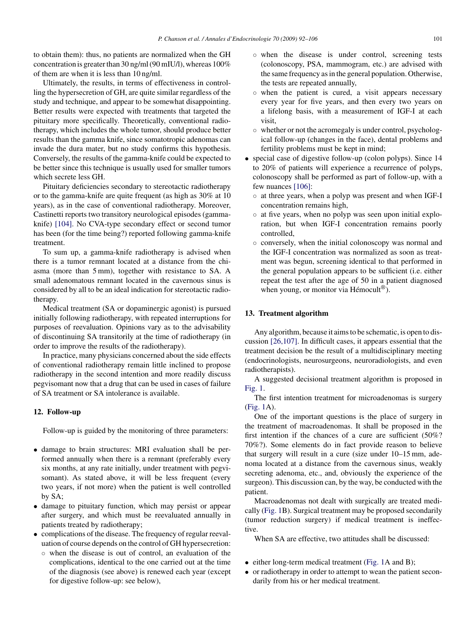to obtain them): thus, no patients are normalized when the GH concentration is greater than 30 ng/ml (90 mIU/l), whereas 100% of them are when it is less than 10 ng/ml.

Ultimately, the results, in terms of effectiveness in controlling the hypersecretion of GH, are quite similar regardless of the study and technique, and appear to be somewhat disappointing. Better results were expected with treatments that targeted the pituitary more specifically. Theoretically, conventional radiotherapy, which includes the whole tumor, should produce better results than the gamma knife, since somatotropic adenomas can invade the dura mater, but no study confirms this hypothesis. Conversely, the results of the gamma-knife could be expected to be better since this technique is usually used for smaller tumors which secrete less GH.

Pituitary deficiencies secondary to stereotactic radiotherapy or to the gamma-knife are quite frequent (as high as 30% at 10 years), as in the case of conventional radiotherapy. Moreover, Castinetti reports two transitory neurological episodes (gammaknife) [\[104\].](#page-13-0) No CVA-type secondary effect or second tumor has been (for the time being?) reported following gamma-knife treatment.

To sum up, a gamma-knife radiotherapy is advised when there is a tumor remnant located at a distance from the chiasma (more than 5 mm), together with resistance to SA. A small adenomatous remnant located in the cavernous sinus is considered by all to be an ideal indication for stereotactic radiotherapy.

Medical treatment (SA or dopaminergic agonist) is pursued initially following radiotherapy, with repeated interruptions for purposes of reevaluation. Opinions vary as to the advisability of discontinuing SA transitorily at the time of radiotherapy (in order to improve the results of the radiotherapy).

In practice, many physicians concerned about the side effects of conventional radiotherapy remain little inclined to propose radiotherapy in the second intention and more readily discuss pegvisomant now that a drug that can be used in cases of failure of SA treatment or SA intolerance is available.

### **12. Follow-up**

Follow-up is guided by the monitoring of three parameters:

- damage to brain structures: MRI evaluation shall be performed annually when there is a remnant (preferably every six months, at any rate initially, under treatment with pegvisomant). As stated above, it will be less frequent (every two years, if not more) when the patient is well controlled by SA;
- damage to pituitary function, which may persist or appear after surgery, and which must be reevaluated annually in patients treated by radiotherapy;
- complications of the disease. The frequency of regular reevaluation of course depends on the control of GH hypersecretion:
	- when the disease is out of control, an evaluation of the complications, identical to the one carried out at the time of the diagnosis (see above) is renewed each year (except for digestive follow-up: see below),
- when the disease is under control, screening tests (colonoscopy, PSA, mammogram, etc.) are advised with the same frequency as in the general population. Otherwise, the tests are repeated annually,
- when the patient is cured, a visit appears necessary every year for five years, and then every two years on a lifelong basis, with a measurement of IGF-I at each visit,
- whether or not the acromegaly is under control, psychological follow-up (changes in the face), dental problems and fertility problems must be kept in mind;
- special case of digestive follow-up (colon polyps). Since 14 to 20% of patients will experience a recurrence of polyps, colonoscopy shall be performed as part of follow-up, with a few nuances [\[106\]:](#page-14-0)
	- at three years, when a polyp was present and when IGF-I concentration remains high,
	- at five years, when no polyp was seen upon initial exploration, but when IGF-I concentration remains poorly controlled,
	- conversely, when the initial colonoscopy was normal and the IGF-I concentration was normalized as soon as treatment was begun, screening identical to that performed in the general population appears to be sufficient (i.e. either repeat the test after the age of 50 in a patient diagnosed when young, or monitor via Hémocult<sup>®</sup>).

### **13. Treatment algorithm**

Any algorithm, because it aims to be schematic, is open to discussion [\[26,107\].](#page-11-0) In difficult cases, it appears essential that the treatment decision be the result of a multidisciplinary meeting (endocrinologists, neurosurgeons, neuroradiologists, and even radiotherapists).

A suggested decisional treatment algorithm is proposed in [Fig. 1.](#page-10-0)

The first intention treatment for microadenomas is surgery ([Fig. 1A](#page-10-0)).

One of the important questions is the place of surgery in the treatment of macroadenomas. It shall be proposed in the first intention if the chances of a cure are sufficient (50%? 70%?). Some elements do in fact provide reason to believe that surgery will result in a cure (size under 10–15 mm, adenoma located at a distance from the cavernous sinus, weakly secreting adenoma, etc., and, obviously the experience of the surgeon). This discussion can, by the way, be conducted with the patient.

Macroadenomas not dealt with surgically are treated medically [\(Fig. 1B](#page-10-0)). Surgical treatment may be proposed secondarily (tumor reduction surgery) if medical treatment is ineffective.

When SA are effective, two attitudes shall be discussed:

- either long-term medical treatment [\(Fig. 1A](#page-10-0) and B);
- or radiotherapy in order to attempt to wean the patient secondarily from his or her medical treatment.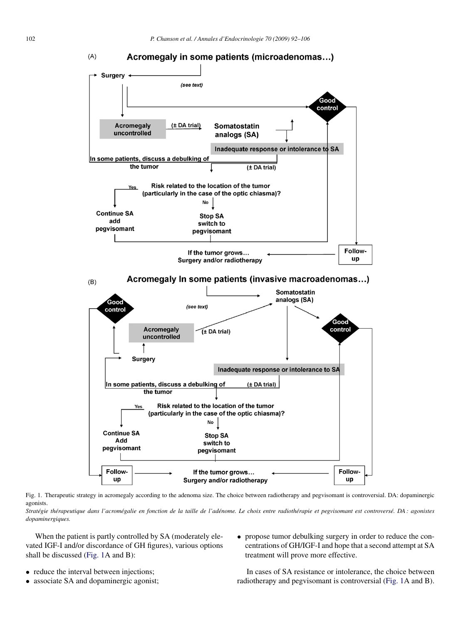<span id="page-10-0"></span>

Fig. 1. Therapeutic strategy in acromegaly according to the adenoma size. The choice between radiotherapy and pegvisomant is controversial. DA: dopaminergic agonists.

*Stratégie thérapeutique dans l'acromégalie en fonction de la taille de l'adénome. Le choix entre radiothérapie et pegvisomant est controversé. DA : agonistes dopaminergiques.*

When the patient is partly controlled by SA (moderately elevated IGF-I and/or discordance of GH figures), various options shall be discussed (Fig. 1A and B):

• propose tumor debulking surgery in order to reduce the concentrations of GH/IGF-I and hope that a second attempt at SA treatment will prove more effective.

- reduce the interval between injections;
- associate SA and dopaminergic agonist;

In cases of SA resistance or intolerance, the choice between radiotherapy and pegvisomant is controversial (Fig. 1A and B).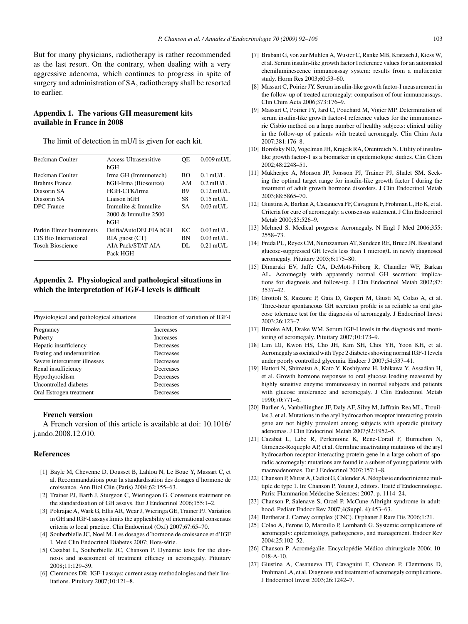<span id="page-11-0"></span>But for many physicians, radiotherapy is rather recommended as the last resort. On the contrary, when dealing with a very aggressive adenoma, which continues to progress in spite of surgery and administration of SA, radiotherapy shall be resorted to earlier.

# **Appendix 1. The various GH measurement kits available in France in 2008**

The limit of detection in mU/l is given for each kit.

| Beckman Coulter          | <b>Access Ultrasensitive</b> | OЕ             | $0.009$ mU/L |
|--------------------------|------------------------------|----------------|--------------|
|                          | hGH                          |                |              |
| Beckman Coulter          | Irma GH (Immunotech)         | BО             | $0.1$ mU/L   |
| <b>Brahms France</b>     | hGH-Irma (Biosource)         | AM             | $0.2$ mIU/L  |
| Diasorin SA              | HGH-CTK/Irma                 | B <sub>9</sub> | $0.12$ mIU/L |
| Diasorin SA              | Liaison hGH                  | S8             | $0.15$ mU/L  |
| DPC France               | Immulite & Immulite          | SА             | $0.03$ mU/L  |
|                          | 2000 & Immulite 2500         |                |              |
|                          | hGH                          |                |              |
| Perkin Elmer Instruments | Delfia/AutoDELFIA hGH        | KС             | $0.03$ mU/L  |
| CIS Bio International    | $RIA$ gnost $(CT)$           | <b>BN</b>      | $0.03$ mU/L  |
| <b>Tosoh Bioscience</b>  | AIA Pack/STAT AIA            | DL.            | $0.21$ mU/L  |
|                          | Pack HGH                     |                |              |

# **Appendix 2. Physiological and pathological situations in which the interpretation of IGF-I levels is difficult**

| Physiological and pathological situations | Direction of variation of IGF-I |  |
|-------------------------------------------|---------------------------------|--|
| Pregnancy                                 | <b>Increases</b>                |  |
| Puberty                                   | <i><u>Increases</u></i>         |  |
| Hepatic insufficiency                     | Decreases                       |  |
| Fasting and undernutrition                | Decreases                       |  |
| Severe intercurrent illnesses             | Decreases                       |  |
| Renal insufficiency                       | Decreases                       |  |
| Hypothyroidism                            | Decreases                       |  |
| Uncontrolled diabetes                     | Decreases                       |  |
| Oral Estrogen treatment                   | Decreases                       |  |

### **French version**

A French version of this article is available at doi: 10.1016/ j.ando.2008.12.010.

### **References**

- [1] Bayle M, Chevenne D, Dousset B, Lahlou N, Le Bouc Y, Massart C, et al. Recommandations pour la standardisation des dosages d'hormone de croissance. Ann Biol Clin (Paris) 2004;62:155–63.
- [2] Trainer PJ, Barth J, Sturgeon C, Wieringaon G. Consensus statement on the standardisation of GH assays. Eur J Endocrinol 2006;155:1–2.
- [3] Pokrajac A, Wark G, Ellis AR, Wear J, Wieringa GE, Trainer PJ. Variation in GH and IGF-I assays limits the applicability of international consensus criteria to local practice. Clin Endocrinol (Oxf) 2007;67:65–70.
- [4] Souberbielle JC, Noel M. Les dosages d'hormone de croissance et d'IGF I. Med Clin Endocrinol Diabetes 2007; Hors-série.
- [5] Cazabat L, Souberbielle JC, Chanson P. Dynamic tests for the diagnosis and assessment of treatment efficacy in acromegaly. Pituitary 2008;11:129–39.
- [6] Clemmons DR. IGF-I assays: current assay methodologies and their limitations. Pituitary 2007;10:121–8.
- [7] Brabant G, von zur Muhlen A, Wuster C, Ranke MB, Kratzsch J, Kiess W, et al. Serum insulin-like growth factor I reference values for an automated chemiluminescence immunoassay system: results from a multicenter study. Horm Res 2003;60:53–60.
- [8] Massart C, Poirier JY. Serum insulin-like growth factor-I measurement in the follow-up of treated acromegaly: comparison of four immunoassays. Clin Chim Acta 2006;373:176–9.
- [9] Massart C, Poirier JY, Jard C, Pouchard M, Vigier MP. Determination of serum insulin-like growth factor-I reference values for the immunometric Cisbio method on a large number of healthy subjects: clinical utility in the follow-up of patients with treated acromegaly. Clin Chim Acta 2007;381:176–8.
- [10] Borofsky ND, Vogelman JH, Krajcik RA, Orentreich N. Utility of insulinlike growth factor-1 as a biomarker in epidemiologic studies. Clin Chem 2002;48:2248–51.
- [11] Mukherjee A, Monson JP, Jonsson PJ, Trainer PJ, Shalet SM. Seeking the optimal target range for insulin-like growth factor I during the treatment of adult growth hormone disorders. J Clin Endocrinol Metab 2003;88:5865–70.
- [12] Giustina A, Barkan A, Casanueva FF, Cavagnini F, Frohman L, Ho K, et al. Criteria for cure of acromegaly: a consensus statement. J Clin Endocrinol Metab 2000:85:526-9.
- [13] Melmed S. Medical progress: Acromegaly. N Engl J Med 2006;355: 2558–73.
- [14] Freda PU, Reyes CM, Nuruzzaman AT, Sundeen RE, Bruce JN. Basal and glucose-suppressed GH levels less than 1 microg/L in newly diagnosed acromegaly. Pituitary 2003;6:175–80.
- [15] Dimaraki EV, Jaffe CA, DeMott-Friberg R, Chandler WF, Barkan AL. Acromegaly with apparently normal GH secretion: implications for diagnosis and follow-up. J Clin Endocrinol Metab 2002;87: 3537–42.
- [16] Grottoli S, Razzore P, Gaia D, Gasperi M, Giusti M, Colao A, et al. Three-hour spontaneous GH secretion profile is as reliable as oral glucose tolerance test for the diagnosis of acromegaly. J Endocrinol Invest 2003;26:123–7.
- [17] Brooke AM, Drake WM, Serum IGF-I levels in the diagnosis and monitoring of acromegaly. Pituitary 2007;10:173–9.
- [18] Lim DJ, Kwon HS, Cho JH, Kim SH, Choi YH, Yoon KH, et al. Acromegaly associated with Type 2 diabetes showing normal IGF-1 levels under poorly controlled glycemia. Endocr J 2007;54:537–41.
- [19] Hattori N, Shimatsu A, Kato Y, Koshiyama H, Ishikawa Y, Assadian H, et al. Growth hormone responses to oral glucose loading measured by highly sensitive enzyme immunoassay in normal subjects and patients with glucose intolerance and acromegaly. J Clin Endocrinol Metab 1990;70:771–6.
- [20] Barlier A, Vanbellinghen JF, Daly AF, Silvy M, Jaffrain-Rea ML, Trouillas J, et al. Mutations in the aryl hydrocarbon receptor interacting protein gene are not highly prevalent among subjects with sporadic pituitary adenomas. J Clin Endocrinol Metab 2007;92:1952–5.
- [21] Cazabat L, Libe R, Perlemoine K, Rene-Corail F, Burnichon N, Gimenez-Roqueplo AP, et al. Germline inactivating mutations of the aryl hydrocarbon receptor-interacting protein gene in a large cohort of sporadic acromegaly: mutations are found in a subset of young patients with macroadenomas. Eur J Endocrinol 2007;157:1–8.
- [22] Chanson P, Murat A, Cadiot G, Calender A. Néoplasie endocrinienne multiple de type 1. In: Chanson P, Young J, editors. Traité d'Endocrinologie. Paris: Flammarion Médecine Sciences; 2007. p. 1114–24.
- [23] Chanson P, Salenave S, Orcel P. McCune-Albright syndrome in adulthood. Pediatr Endocr Rev 2007;4(Suppl. 4):453–63.
- [24] Bertherat J. Carney complex (CNC). Orphanet J Rare Dis 2006;1:21.
- [25] Colao A, Ferone D, Marzullo P, Lombardi G. Systemic complications of acromegaly: epidemiology, pathogenesis, and management. Endocr Rev 2004;25:102–52.
- [26] Chanson P. Acromégalie. Encyclopédie Médico-chirurgicale 2006; 10- 018-A-10.
- [27] Giustina A, Casanueva FF, Cavagnini F, Chanson P, Clemmons D, Frohman LA, et al. Diagnosis and treatment of acromegaly complications. J Endocrinol Invest 2003;26:1242–7.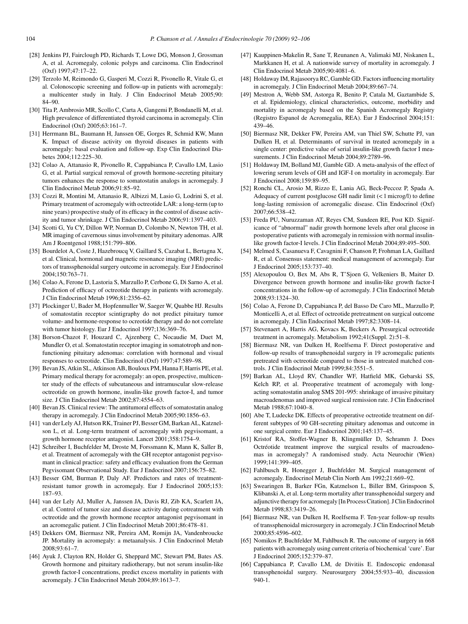- <span id="page-12-0"></span>[28] Jenkins PJ, Fairclough PD, Richards T, Lowe DG, Monson J, Grossman A, et al. Acromegaly, colonic polyps and carcinoma. Clin Endocrinol (Oxf) 1997;47:17–22.
- [29] Terzolo M, Reimondo G, Gasperi M, Cozzi R, Pivonello R, Vitale G, et al. Colonoscopic screening and follow-up in patients with acromegaly: a multicenter study in Italy. J Clin Endocrinol Metab 2005;90: 84–90.
- [30] Tita P, Ambrosio MR, Scollo C, Carta A, Gangemi P, Bondanelli M, et al. High prevalence of differentiated thyroid carcinoma in acromegaly. Clin Endocrinol (Oxf) 2005;63:161–7.
- [31] Herrmann BL, Baumann H, Janssen OE, Gorges R, Schmid KW, Mann K. Impact of disease activity on thyroid diseases in patients with acromegaly: basal evaluation and follow-up. Exp Clin Endocrinol Diabetes 2004;112:225–30.
- [32] Colao A, Attanasio R, Pivonello R, Cappabianca P, Cavallo LM, Lasio G, et al. Partial surgical removal of growth hormone-secreting pituitary tumors enhances the response to somatostatin analogs in acromegaly. J Clin Endocrinol Metab 2006;91:85–92.
- [33] Cozzi R, Montini M, Attanasio R, Albizzi M, Lasio G, Lodrini S, et al. Primary treatment of acromegaly with octreotide LAR: a long-term (up to nine years) prospective study of its efficacy in the control of disease activity and tumor shrinkage. J Clin Endocrinol Metab 2006;91:1397–403.
- [34] Scotti G, Yu CY, Dillon WP, Norman D, Colombo N, Newton TH, et al. MR imaging of cavernous sinus involvement by pituitary adenomas. AJR Am J Roentgenol 1988;151:799–806.
- [35] Bourdelot A, Coste J, Hazebroucq V, Gaillard S, Cazabat L, Bertagna X, et al. Clinical, hormonal and magnetic resonance imaging (MRI) predictors of transsphenoidal surgery outcome in acromegaly. Eur J Endocrinol 2004;150:763–71.
- [36] Colao A, Ferone D, Lastoria S, Marzullo P, Cerbone G, Di Sarno A, et al. Prediction of efficacy of octreotide therapy in patients with acromegaly. J Clin Endocrinol Metab 1996;81:2356–62.
- [37] Plockinger U, Bader M, Hopfenmuller W, Saeger W, Quabbe HJ. Results of somatostatin receptor scintigraphy do not predict pituitary tumor volume- and hormone-response to ocreotide therapy and do not correlate with tumor histology. Eur J Endocrinol 1997;136:369–76.
- [38] Borson-Chazot F, Houzard C, Ajzenberg C, Nocaudie M, Duet M, Mundler O, et al. Somatostatin receptor imaging in somatotroph and nonfunctioning pituitary adenomas: correlation with hormonal and visual responses to octreotide. Clin Endocrinol (Oxf) 1997;47:589–98.
- [39] Bevan JS, Atkin SL, Atkinson AB, Bouloux PM, Hanna F, Harris PE, et al. Primary medical therapy for acromegaly: an open, prospective, multicenter study of the effects of subcutaneous and intramuscular slow-release octreotide on growth hormone, insulin-like growth factor-I, and tumor size. J Clin Endocrinol Metab 2002;87:4554–63.
- [40] Bevan JS. Clinical review: The antitumoral effects of somatostatin analog therapy in acromegaly. J Clin Endocrinol Metab 2005;90:1856–63.
- [41] van der Lely AJ, Hutson RK, Trainer PJ, Besser GM, Barkan AL, Katznelson L, et al. Long-term treatment of acromegaly with pegvisomant, a growth hormone receptor antagonist. Lancet 2001;358:1754–9.
- [42] Schreiber I, Buchfelder M, Droste M, Forssmann K, Mann K, Saller B, et al. Treatment of acromegaly with the GH receptor antagonist pegvisomant in clinical practice: safety and efficacy evaluation from the German Pegvisomant Observational Study. Eur J Endocrinol 2007;156:75–82.
- [43] Besser GM, Burman P, Daly AF. Predictors and rates of treatmentresistant tumor growth in acromegaly. Eur J Endocrinol 2005;153: 187–93.
- [44] van der Lely AJ, Muller A, Janssen JA, Davis RJ, Zib KA, Scarlett JA, et al. Control of tumor size and disease activity during cotreatment with octreotide and the growth hormone receptor antagonist pegvisomant in an acromegalic patient. J Clin Endocrinol Metab 2001;86:478–81.
- [45] Dekkers OM, Biermasz NR, Pereira AM, Romijn JA, Vandenbroucke JP. Mortality in acromegaly: a metaanalysis. J Clin Endocrinol Metab 2008;93:61–7.
- [46] Ayuk J, Clayton RN, Holder G, Sheppard MC, Stewart PM, Bates AS. Growth hormone and pituitary radiotherapy, but not serum insulin-like growth factor-I concentrations, predict excess mortality in patients with acromegaly. J Clin Endocrinol Metab 2004;89:1613–7.
- [47] Kauppinen-Makelin R, Sane T, Reunanen A, Valimaki MJ, Niskanen L, Markkanen H, et al. A nationwide survey of mortality in acromegaly. J Clin Endocrinol Metab 2005;90:4081–6.
- [48] Holdaway IM, Rajasoorya RC, Gamble GD. Factors influencing mortality in acromegaly. J Clin Endocrinol Metab 2004;89:667–74.
- [49] Mestron A, Webb SM, Astorga R, Benito P, Catala M, Gaztambide S, et al. Epidemiology, clinical characteristics, outcome, morbidity and mortality in acromegaly based on the Spanish Acromegaly Registry (Registro Espanol de Acromegalia, REA). Eur J Endocrinol 2004;151: 439–46.
- [50] Biermasz NR, Dekker FW, Pereira AM, van Thiel SW, Schutte PJ, van Dulken H, et al. Determinants of survival in treated acromegaly in a single center: predictive value of serial insulin-like growth factor I measurements. J Clin Endocrinol Metab 2004;89:2789–96.
- [51] Holdaway IM, Bolland MJ, Gamble GD. A meta-analysis of the effect of lowering serum levels of GH and IGF-I on mortality in acromegaly. Eur J Endocrinol 2008;159:89–95.
- [52] Ronchi CL, Arosio M, Rizzo E, Lania AG, Beck-Peccoz P, Spada A. Adequacy of current postglucose GH nadir limit (< 1 microg/l) to define long-lasting remission of acromegalic disease. Clin Endocrinol (Oxf) 2007;66:538–42.
- [53] Freda PU, Nuruzzaman AT, Reyes CM, Sundeen RE, Post KD. Significance of "abnormal" nadir growth hormone levels after oral glucose in postoperative patients with acromegaly in remission with normal insulinlike growth factor-I levels. J Clin Endocrinol Metab 2004;89:495–500.
- [54] Melmed S, Casanueva F, Cavagnini F, Chanson P, Frohman LA, Gaillard R, et al. Consensus statement: medical management of acromegaly. Eur J Endocrinol 2005;153:737–40.
- [55] Alexopoulou O, Bex M, Abs R, T'Sjoen G, Velkeniers B, Maiter D. Divergence between growth hormone and insulin-like growth factor-I concentrations in the follow-up of acromegaly. J Clin Endocrinol Metab 2008;93:1324–30.
- [56] Colao A, Ferone D, Cappabianca P, del Basso De Caro ML, Marzullo P, Monticelli A, et al. Effect of octreotide pretreatment on surgical outcome in acromegaly. J Clin Endocrinol Metab 1997;82:3308–14.
- [57] Stevenaert A, Harris AG, Kovacs K, Beckers A. Presurgical octreotide treatment in acromegaly. Metabolism 1992;41(Suppl. 2):51–8.
- [58] Biermasz NR, van Dulken H, Roelfsema F. Direct postoperative and follow-up results of transsphenoidal surgery in 19 acromegalic patients pretreated with octreotide compared to those in untreated matched controls. J Clin Endocrinol Metab 1999;84:3551–5.
- [59] Barkan AL, Lloyd RV, Chandler WF, Hatfield MK, Gebarski SS, Kelch RP, et al. Preoperative treatment of acromegaly with longacting somatostatin analog SMS 201-995: shrinkage of invasive pituitary macroadenomas and improved surgical remission rate. J Clin Endocrinol Metab 1988;67:1040–8.
- [60] Abe T, Ludecke DK. Effects of preoperative octreotide treatment on different subtypes of 90 GH-secreting pituitary adenomas and outcome in one surgical centre. Eur J Endocrinol 2001;145:137–45.
- [61] Kristof RA, Stoffet-Wagner B, Klingmüller D, Schramm J. Does Octréotide treatment improve the surgical results of macroadenomas in acromegaly? A randomised study. Acta Neurochir (Wien) 1999;141:399–405.
- [62] Fahlbusch R, Honegger J, Buchfelder M. Surgical management of acromegaly. Endocrinol Metab Clin North Am 1992;21:669–92.
- [63] Swearingen B, Barker FGn, Katznelson L, Biller BM, Grinspoon S, Klibanski A, et al. Long-term mortality after transsphenoidal surgery and adjunctive therapy for acromegaly [In Process Citation]. J Clin Endocrinol Metab 1998;83:3419–26.
- [64] Biermasz NR, van Dulken H, Roelfsema F. Ten-year follow-up results of transsphenoidal microsurgery in acromegaly. J Clin Endocrinol Metab 2000;85:4596–602.
- [65] Nomikos P, Buchfelder M, Fahlbusch R. The outcome of surgery in 668 patients with acromegaly using current criteria of biochemical 'cure'. Eur J Endocrinol 2005;152:379–87.
- [66] Cappabianca P, Cavallo LM, de Divitiis E. Endoscopic endonasal transsphenoidal surgery. Neurosurgery 2004;55:933–40, discussion 940-1.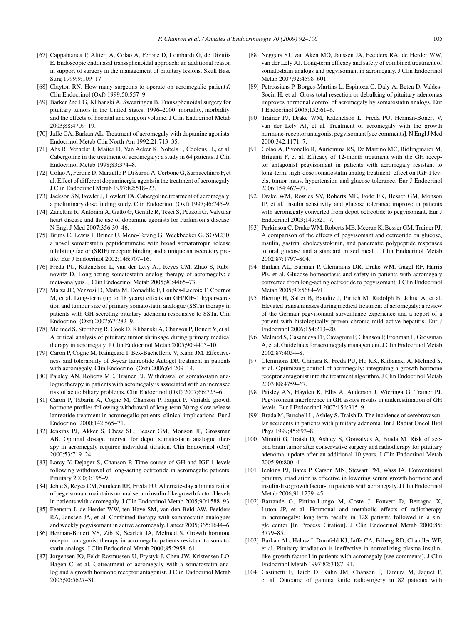- <span id="page-13-0"></span>[67] Cappabianca P, Alfieri A, Colao A, Ferone D, Lombardi G, de Divitiis E. Endoscopic endonasal transsphenoidal approach: an additional reason in support of surgery in the management of pituitary lesions. Skull Base Surg 1999;9:109–17.
- [68] Clayton RN. How many surgeons to operate on acromegalic patients? Clin Endocrinol (Oxf) 1999;50:557–9.
- [69] Barker 2nd FG, Klibanski A, Swearingen B. Transsphenoidal surgery for pituitary tumors in the United States, 1996–2000: mortality, morbidity, and the effects of hospital and surgeon volume. J Clin Endocrinol Metab 2003;88:4709–19.
- [70] Jaffe CA, Barkan AL. Treatment of acromegaly with dopamine agonists. Endocrinol Metab Clin North Am 1992;21:713–35.
- [71] Abs R, Verhelst J, Maiter D, Van Acker K, Nobels F, Coolens JL, et al. Cabergoline in the treatment of acromegaly: a study in 64 patients. J Clin Endocrinol Metab 1998;83:374–8.
- [72] Colao A, Ferone D, Marzullo P, Di Sarno A, Cerbone G, Sarnacchiaro F, et al. Effect of different dopaminergic agents in the treatment of acromegaly. J Clin Endocrinol Metab 1997;82:518–23.
- [73] Jackson SN, Fowler J, Howlett TA. Cabergoline treatment of acromegaly: a preliminary dose finding study. Clin Endocrinol (Oxf) 1997;46:745–9.
- [74] Zanettini R, Antonini A, Gatto G, Gentile R, Tesei S, Pezzoli G. Valvular heart disease and the use of dopamine agonists for Parkinson's disease. N Engl J Med 2007;356:39–46.
- [75] Bruns C, Lewis I, Briner U, Meno-Tetang G, Weckbecker G. SOM230: a novel somatostatin peptidomimetic with broad somatotropin release inhibiting factor (SRIF) receptor binding and a unique antisecretory profile. Eur J Endocrinol 2002;146:707–16.
- [76] Freda PU, Katznelson L, van der Lely AJ, Reyes CM, Zhao S, Rabinowitz D. Long-acting somatostatin analog therapy of acromegaly: a meta-analysis. J Clin Endocrinol Metab 2005;90:4465–73.
- [77] Maiza JC, Vezzosi D, Matta M, Donadille F, Loubes-Lacroix F, Cournot M, et al. Long-term (up to 18 years) effects on GH/IGF-1 hypersecretion and tumour size of primary somatostatin analogue (SSTa) therapy in patients with GH-secreting pituitary adenoma responsive to SSTa. Clin Endocrinol (Oxf) 2007;67:282–9.
- [78] Melmed S, Sternberg R, Cook D, Klibanski A, Chanson P, Bonert V, et al. A critical analysis of pituitary tumor shrinkage during primary medical therapy in acromegaly. J Clin Endocrinol Metab 2005;90:4405–10.
- [79] Caron P, Cogne M, Raingeard I, Bex-Bachellerie V, Kuhn JM. Effectiveness and tolerability of 3-year lanreotide Autogel treatment in patients with acromegaly. Clin Endocrinol (Oxf) 2006;64:209–14.
- [80] Paisley AN, Roberts ME, Trainer PJ. Withdrawal of somatostatin analogue therapy in patients with acromegaly is associated with an increased risk of acute biliary problems. Clin Endocrinol (Oxf) 2007;66:723–6.
- [81] Caron P, Tabarin A, Cogne M, Chanson P, Jaquet P. Variable growth hormone profiles following withdrawal of long-term 30 mg slow-release lanreotide treatment in acromegalic patients: clinical implications. Eur J Endocrinol 2000;142:565–71.
- [82] Jenkins PJ, Akker S, Chew SL, Besser GM, Monson JP, Grossman AB. Optimal dosage interval for depot somatostatin analogue therapy in acromegaly requires individual titration. Clin Endocrinol (Oxf) 2000;53:719–24.
- [83] Lorcy Y, Dejager S, Chanson P. Time course of GH and IGF-1 levels following withdrawal of long-acting octreotide in acromegalic patients. Pituitary 2000;3:195–9.
- [84] Jehle S, Reyes CM, Sundeen RE, Freda PU. Alternate-day administration of pegvisomant maintains normal serum insulin-like growth factor-I levels in patients with acromegaly. J Clin Endocrinol Metab 2005;90:1588–93.
- [85] Feenstra J, de Herder WW, ten Have SM, van den Beld AW, Feelders RA, Janssen JA, et al. Combined therapy with somatostatin analogues and weekly pegvisomant in active acromegaly. Lancet 2005;365:1644–6.
- [86] Herman-Bonert VS, Zib K, Scarlett JA, Melmed S. Growth hormone receptor antagonist therapy in acromegalic patients resistant to somatostatin analogs. J Clin Endocrinol Metab 2000;85:2958–61.
- [87] Jorgensen JO, Feldt-Rasmussen U, Frystyk J, Chen JW, Kristensen LO, Hagen C, et al. Cotreatment of acromegaly with a somatostatin analog and a growth hormone receptor antagonist. J Clin Endocrinol Metab 2005;90:5627–31.
- [88] Neggers SJ, van Aken MO, Janssen JA, Feelders RA, de Herder WW, van der Lely AJ. Long-term efficacy and safety of combined treatment of somatostatin analogs and pegvisomant in acromegaly. J Clin Endocrinol Metab 2007;92:4598–601.
- [89] Petrossians P, Borges-Martins L, Espinoza C, Daly A, Betea D, Valdes-Socin H, et al. Gross total resection or debulking of pituitary adenomas improves hormonal control of acromegaly by somatostatin analogs. Eur J Endocrinol 2005;152:61–6.
- [90] Trainer PJ, Drake WM, Katznelson L, Freda PU, Herman-Bonert V, van der Lely AJ, et al. Treatment of acromegaly with the growth hormone-receptor antagonist pegvisomant [see comments]. N Engl J Med 2000;342:1171–7.
- [91] Colao A, Pivonello R, Auriemma RS, De Martino MC, Bidlingmaier M, Briganti F, et al. Efficacy of 12-month treatment with the GH receptor antagonist pegvisomant in patients with acromegaly resistant to long-term, high-dose somatostatin analog treatment: effect on IGF-I levels, tumor mass, hypertension and glucose tolerance. Eur J Endocrinol 2006;154:467–77.
- [92] Drake WM, Rowles SV, Roberts ME, Fode FK, Besser GM, Monson JP, et al. Insulin sensitivity and glucose tolerance improve in patients with acromegaly converted from depot octreotide to pegvisomant. Eur J Endocrinol 2003;149:521–7.
- [93] Parkinson C, Drake WM, Roberts ME, Meeran K, Besser GM, Trainer PJ. A comparison of the effects of pegvisomant and octreotide on glucose, insulin, gastrin, cholecystokinin, and pancreatic polypeptide responses to oral glucose and a standard mixed meal. J Clin Endocrinol Metab 2002;87:1797–804.
- [94] Barkan AL, Burman P, Clemmons DR, Drake WM, Gagel RF, Harris PE, et al. Glucose homeostasis and safety in patients with acromegaly converted from long-acting octreotide to pegvisomant. J Clin Endocrinol Metab 2005;90:5684–91.
- [95] Biering H, Saller B, Bauditz J, Pirlich M, Rudolph B, Johne A, et al. Elevated transaminases during medical treatment of acromegaly: a review of the German pegvisomant surveillance experience and a report of a patient with histologically proven chronic mild active hepatitis. Eur J Endocrinol 2006;154:213–20.
- [96] Melmed S, Casanueva FF, Cavagnini F, Chanson P, Frohman L, Grossman A, et al. Guidelines for acromegaly management. J Clin Endocrinol Metab 2002;87:4054–8.
- [97] Clemmons DR, Chihara K, Freda PU, Ho KK, Klibanski A, Melmed S, et al. Optimizing control of acromegaly: integrating a growth hormone receptor antagonist into the treatment algorithm. J Clin Endocrinol Metab 2003;88:4759–67.
- [98] Paisley AN, Hayden K, Ellis A, Anderson J, Wieringa G, Trainer PJ. Pegvisomant interference in GH assays results in underestimation of GH levels. Eur J Endocrinol 2007;156:315–9.
- [99] Brada M, Burchell L, Ashley S, Traish D. The incidence of cerebrovascular accidents in patients with pituitary adenoma. Int J Radiat Oncol Biol Phys 1999;45:693–8.
- [100] Minniti G, Traish D, Ashley S, Gonsalves A, Brada M. Risk of second brain tumor after conservative surgery and radiotherapy for pituitary adenoma: update after an additional 10 years. J Clin Endocrinol Metab 2005;90:800–4.
- [101] Jenkins PJ, Bates P, Carson MN, Stewart PM, Wass JA. Conventional pituitary irradiation is effective in lowering serum growth hormone and insulin-like growth factor-I in patients with acromegaly. J Clin Endocrinol Metab 2006;91:1239–45.
- [102] Barrande G, Pittino-Lungo M, Coste J, Ponvert D, Bertagna X, Luton JP, et al. Hormonal and metabolic effects of radiotherapy in acromegaly: long-term results in 128 patients followed in a single center [In Process Citation]. J Clin Endocrinol Metab 2000;85: 3779–85.
- [103] Barkan AL, Halasz I, Dornfeld KJ, Jaffe CA, Friberg RD, Chandler WF, et al. Pituitary irradiation is ineffective in normalizing plasma insulinlike growth factor I in patients with acromegaly [see comments]. J Clin Endocrinol Metab 1997;82:3187–91.
- [104] Castinetti F, Taieb D, Kuhn JM, Chanson P, Tamura M, Jaquet P, et al. Outcome of gamma knife radiosurgery in 82 patients with